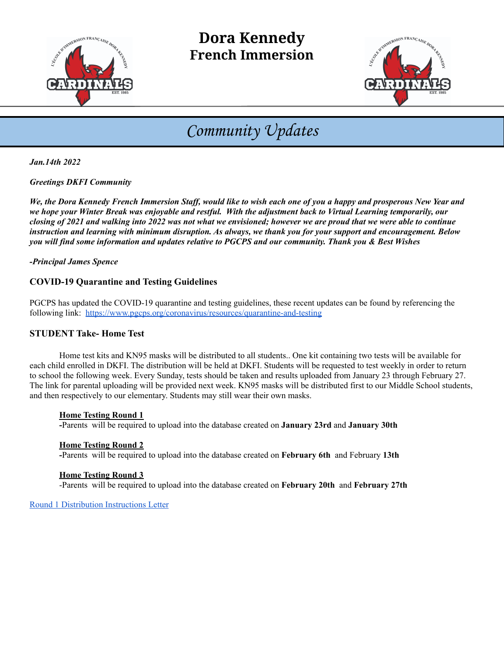

# **Dora Kennedy French Immersion**



# Community Updates

*Jan.14th 2022*

*Greetings DKFI Community*

*We, the Dora Kennedy French Immersion Staff, would like to wish each one of you a happy and prosperous New Year and we hope your Winter Break was enjoyable and restful. With the adjustment back to Virtual Learning temporarily, our closing of 2021 and walking into 2022 was not what we envisioned; however we are proud that we were able to continue instruction and learning with minimum disruption. As always, we thank you for your support and encouragement. Below you will find some information and updates relative to PGCPS and our community. Thank you & Best Wishes*

*-Principal James Spence*

## **COVID-19 Quarantine and Testing Guidelines**

PGCPS has updated the COVID-19 quarantine and testing guidelines, these recent updates can be found by referencing the following link: <https://www.pgcps.org/coronavirus/resources/quarantine-and-testing>

## **STUDENT Take- Home Test**

Home test kits and KN95 masks will be distributed to all students.. One kit containing two tests will be available for each child enrolled in DKFI. The distribution will be held at DKFI. Students will be requested to test weekly in order to return to school the following week. Every Sunday, tests should be taken and results uploaded from January 23 through February 27. The link for parental uploading will be provided next week. KN95 masks will be distributed first to our Middle School students, and then respectively to our elementary. Students may still wear their own masks.

#### **Home Testing Round 1**

**-**Parents will be required to upload into the database created on **January 23rd** and **January 30th**

#### **Home Testing Round 2**

**-**Parents will be required to upload into the database created on **February 6th** and February **13th**

#### **Home Testing Round 3**

-Parents will be required to upload into the database created on **February 20th** and **February 27th**

[Round 1 Distribution Instructions Letter](https://drive.google.com/file/d/1sWpX7OjyxNe8fD4VKf4EdUcufNfE4XZW/view?usp=sharing)